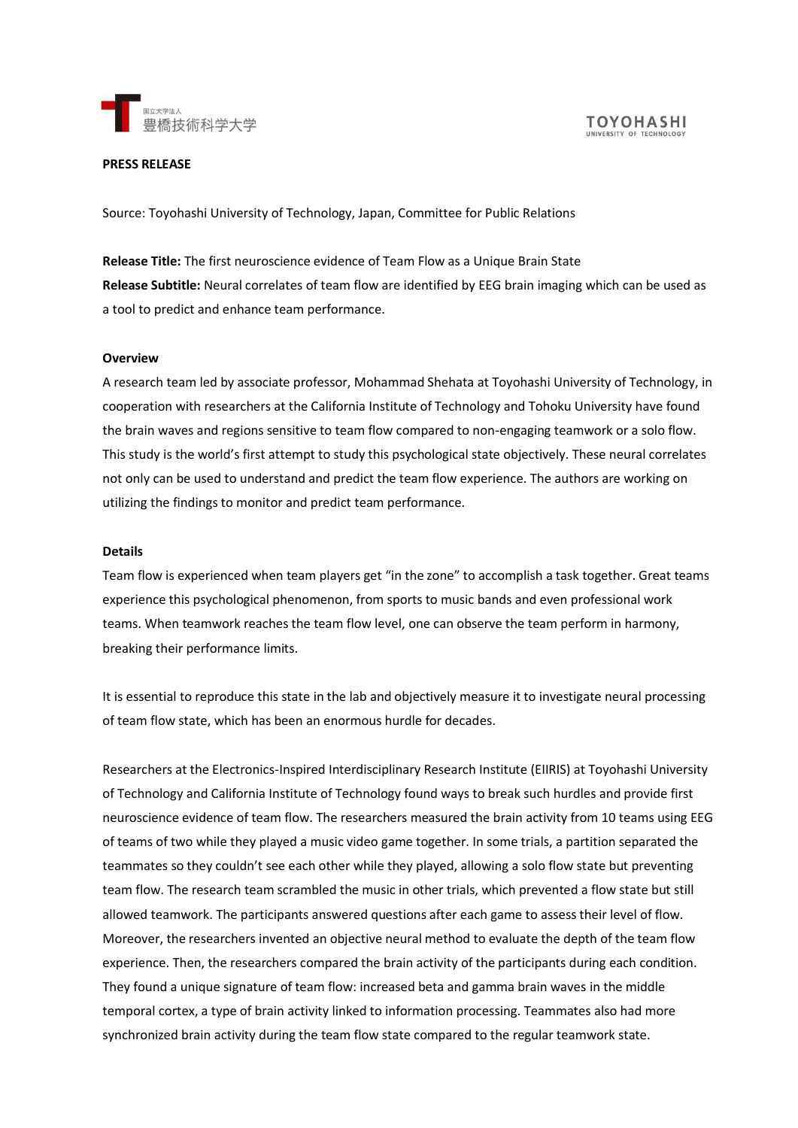

## **PRESS RELEASE**

Source: Toyohashi University of Technology, Japan, Committee for Public Relations

**Release Title:** The first neuroscience evidence of Team Flow as a Unique Brain State **Release Subtitle:** Neural correlates of team flow are identified by EEG brain imaging which can be used as a tool to predict and enhance team performance.

#### **Overview**

A research team led by associate professor, Mohammad Shehata at Toyohashi University of Technology, in cooperation with researchers at the California Institute of Technology and Tohoku University have found the brain waves and regions sensitive to team flow compared to non-engaging teamwork or a solo flow. This study is the world's first attempt to study this psychological state objectively. These neural correlates not only can be used to understand and predict the team flow experience. The authors are working on utilizing the findings to monitor and predict team performance.

#### **Details**

Team flow is experienced when team players get "in the zone" to accomplish a task together. Great teams experience this psychological phenomenon, from sports to music bands and even professional work teams. When teamwork reaches the team flow level, one can observe the team perform in harmony, breaking their performance limits.

It is essential to reproduce this state in the lab and objectively measure it to investigate neural processing of team flow state, which has been an enormous hurdle for decades.

Researchers at the Electronics-Inspired Interdisciplinary Research Institute (EIIRIS) at Toyohashi University of Technology and California Institute of Technology found ways to break such hurdles and provide first neuroscience evidence of team flow. The researchers measured the brain activity from 10 teams using EEG of teams of two while they played a music video game together. In some trials, a partition separated the teammates so they couldn't see each other while they played, allowing a solo flow state but preventing team flow. The research team scrambled the music in other trials, which prevented a flow state but still allowed teamwork. The participants answered questions after each game to assess their level of flow. Moreover, the researchers invented an objective neural method to evaluate the depth of the team flow experience. Then, the researchers compared the brain activity of the participants during each condition. They found a unique signature of team flow: increased beta and gamma brain waves in the middle temporal cortex, a type of brain activity linked to information processing. Teammates also had more synchronized brain activity during the team flow state compared to the regular teamwork state.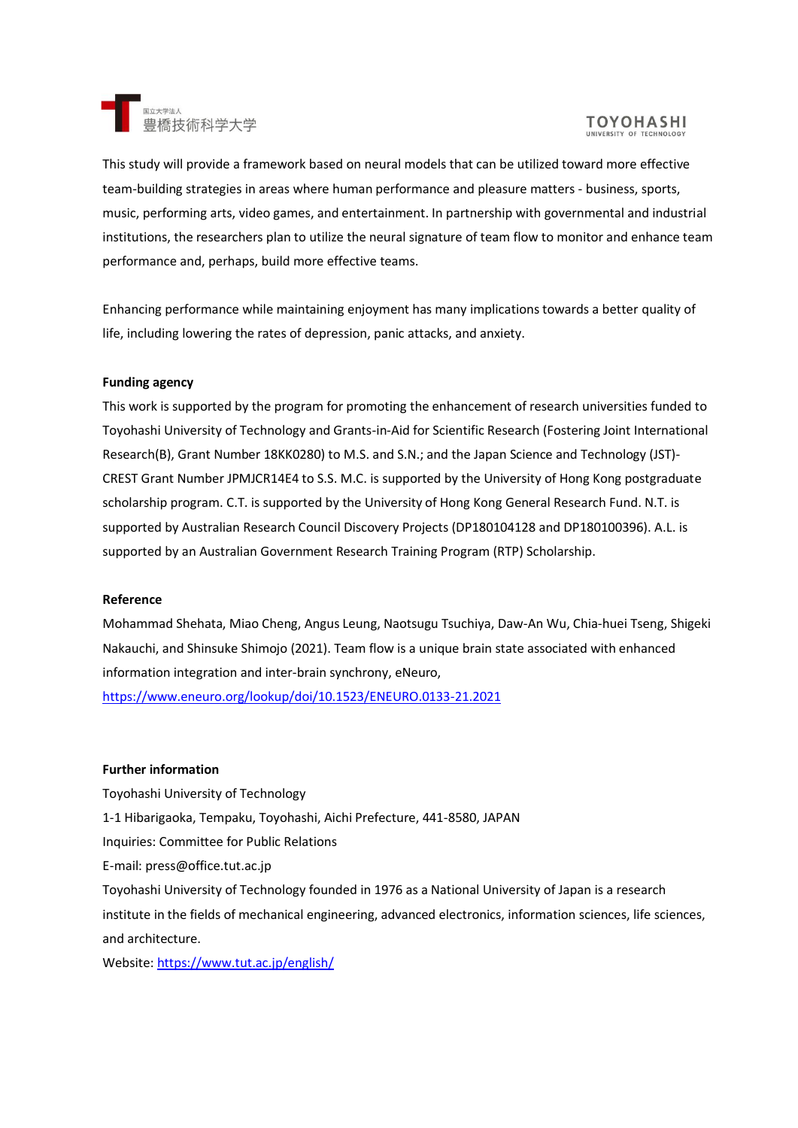

# **TOYOHASHI**

This study will provide a framework based on neural models that can be utilized toward more effective team-building strategies in areas where human performance and pleasure matters - business, sports, music, performing arts, video games, and entertainment. In partnership with governmental and industrial institutions, the researchers plan to utilize the neural signature of team flow to monitor and enhance team performance and, perhaps, build more effective teams.

Enhancing performance while maintaining enjoyment has many implications towards a better quality of life, including lowering the rates of depression, panic attacks, and anxiety.

#### **Funding agency**

This work is supported by the program for promoting the enhancement of research universities funded to Toyohashi University of Technology and Grants-in-Aid for Scientific Research (Fostering Joint International Research(B), Grant Number 18KK0280) to M.S. and S.N.; and the Japan Science and Technology (JST)- CREST Grant Number JPMJCR14E4 to S.S. M.C. is supported by the University of Hong Kong postgraduate scholarship program. C.T. is supported by the University of Hong Kong General Research Fund. N.T. is supported by Australian Research Council Discovery Projects (DP180104128 and DP180100396). A.L. is supported by an Australian Government Research Training Program (RTP) Scholarship.

#### **Reference**

Mohammad Shehata, Miao Cheng, Angus Leung, Naotsugu Tsuchiya, Daw-An Wu, Chia-huei Tseng, Shigeki Nakauchi, and Shinsuke Shimojo (2021). Team flow is a unique brain state associated with enhanced information integration and inter-brain synchrony, eNeuro,

<https://www.eneuro.org/lookup/doi/10.1523/ENEURO.0133-21.2021>

## **Further information**

Toyohashi University of Technology 1-1 Hibarigaoka, Tempaku, Toyohashi, Aichi Prefecture, 441-8580, JAPAN Inquiries: Committee for Public Relations E-mail: press@office.tut.ac.jp Toyohashi University of Technology founded in 1976 as a National University of Japan is a research institute in the fields of mechanical engineering, advanced electronics, information sciences, life sciences, and architecture.

Website:<https://www.tut.ac.jp/english/>